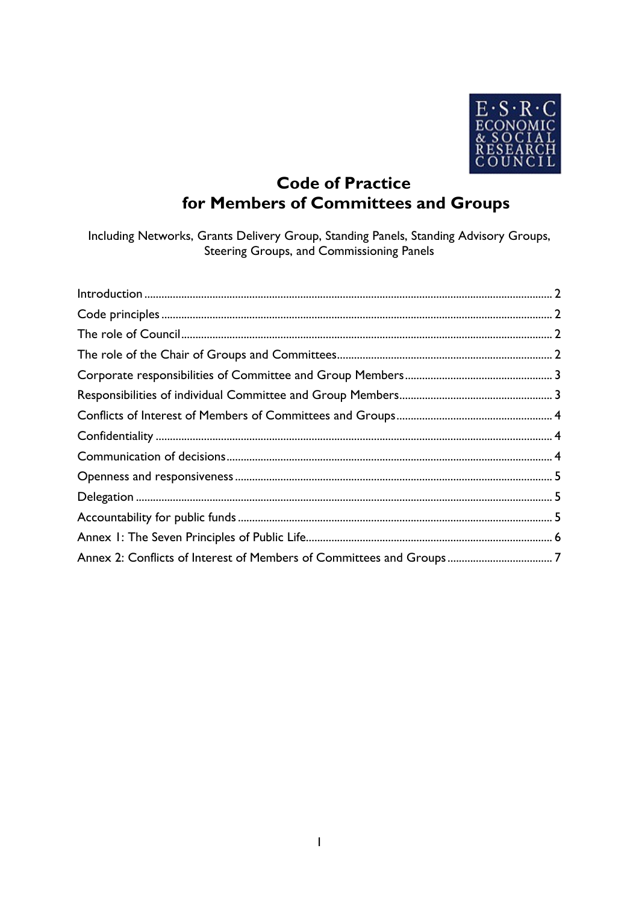

# **Code of Practice** for Members of Committees and Groups

Including Networks, Grants Delivery Group, Standing Panels, Standing Advisory Groups, Steering Groups, and Commissioning Panels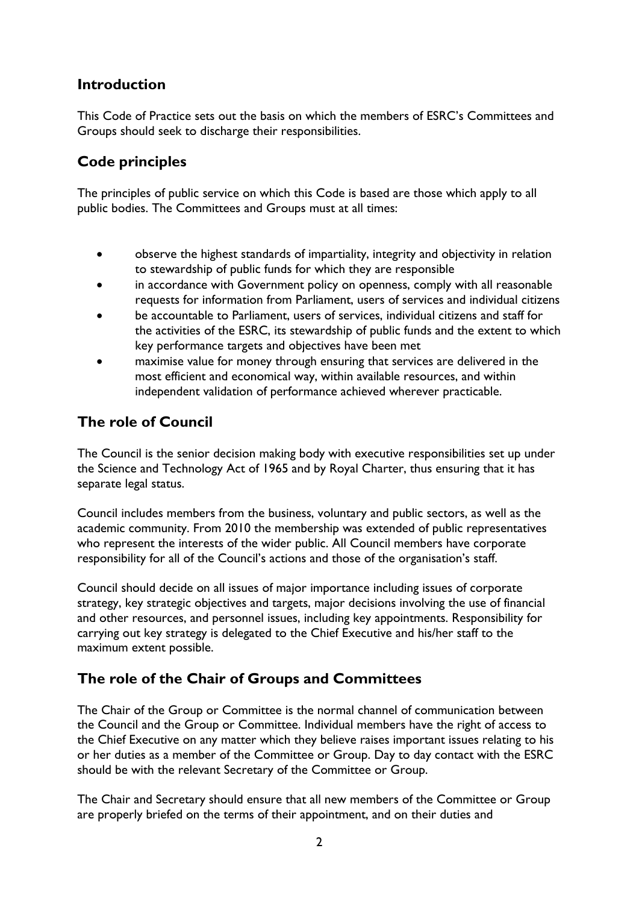#### <span id="page-1-0"></span>**Introduction**

This Code of Practice sets out the basis on which the members of ESRC's Committees and Groups should seek to discharge their responsibilities.

### <span id="page-1-1"></span>**Code principles**

The principles of public service on which this Code is based are those which apply to all public bodies. The Committees and Groups must at all times:

- observe the highest standards of impartiality, integrity and objectivity in relation to stewardship of public funds for which they are responsible
- in accordance with Government policy on openness, comply with all reasonable requests for information from Parliament, users of services and individual citizens
- be accountable to Parliament, users of services, individual citizens and staff for the activities of the ESRC, its stewardship of public funds and the extent to which key performance targets and objectives have been met
- maximise value for money through ensuring that services are delivered in the most efficient and economical way, within available resources, and within independent validation of performance achieved wherever practicable.

### <span id="page-1-2"></span>**The role of Council**

The Council is the senior decision making body with executive responsibilities set up under the Science and Technology Act of 1965 and by Royal Charter, thus ensuring that it has separate legal status.

Council includes members from the business, voluntary and public sectors, as well as the academic community. From 2010 the membership was extended of public representatives who represent the interests of the wider public. All Council members have corporate responsibility for all of the Council's actions and those of the organisation's staff.

Council should decide on all issues of major importance including issues of corporate strategy, key strategic objectives and targets, major decisions involving the use of financial and other resources, and personnel issues, including key appointments. Responsibility for carrying out key strategy is delegated to the Chief Executive and his/her staff to the maximum extent possible.

### <span id="page-1-3"></span>**The role of the Chair of Groups and Committees**

The Chair of the Group or Committee is the normal channel of communication between the Council and the Group or Committee. Individual members have the right of access to the Chief Executive on any matter which they believe raises important issues relating to his or her duties as a member of the Committee or Group. Day to day contact with the ESRC should be with the relevant Secretary of the Committee or Group.

The Chair and Secretary should ensure that all new members of the Committee or Group are properly briefed on the terms of their appointment, and on their duties and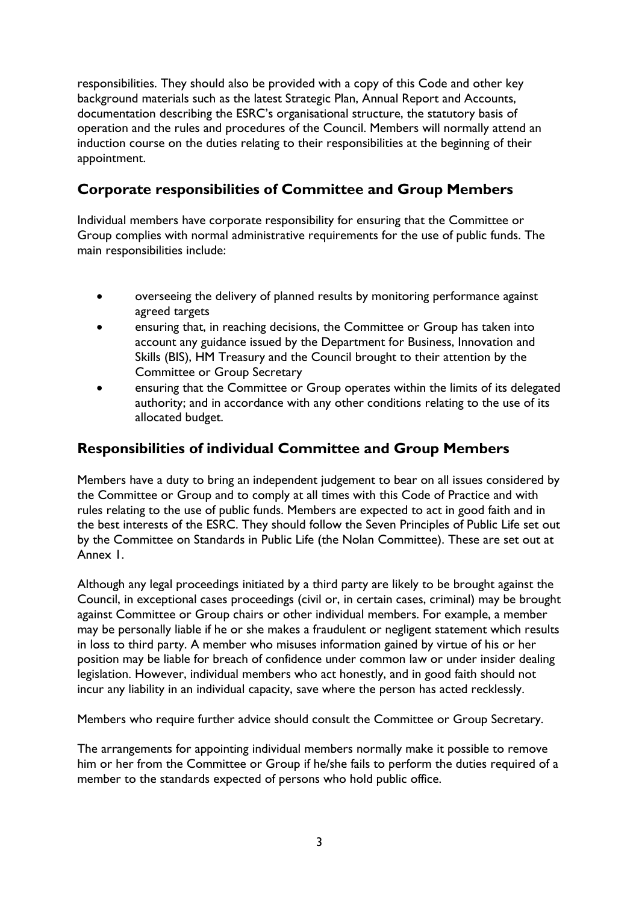responsibilities. They should also be provided with a copy of this Code and other key background materials such as the latest Strategic Plan, Annual Report and Accounts, documentation describing the ESRC's organisational structure, the statutory basis of operation and the rules and procedures of the Council. Members will normally attend an induction course on the duties relating to their responsibilities at the beginning of their appointment.

## <span id="page-2-0"></span>**Corporate responsibilities of Committee and Group Members**

Individual members have corporate responsibility for ensuring that the Committee or Group complies with normal administrative requirements for the use of public funds. The main responsibilities include:

- overseeing the delivery of planned results by monitoring performance against agreed targets
- ensuring that, in reaching decisions, the Committee or Group has taken into account any guidance issued by the Department for Business, Innovation and Skills (BIS), HM Treasury and the Council brought to their attention by the Committee or Group Secretary
- ensuring that the Committee or Group operates within the limits of its delegated authority; and in accordance with any other conditions relating to the use of its allocated budget.

### <span id="page-2-1"></span>**Responsibilities of individual Committee and Group Members**

Members have a duty to bring an independent judgement to bear on all issues considered by the Committee or Group and to comply at all times with this Code of Practice and with rules relating to the use of public funds. Members are expected to act in good faith and in the best interests of the ESRC. They should follow the Seven Principles of Public Life set out by the Committee on Standards in Public Life (the Nolan Committee). These are set out at Annex 1.

Although any legal proceedings initiated by a third party are likely to be brought against the Council, in exceptional cases proceedings (civil or, in certain cases, criminal) may be brought against Committee or Group chairs or other individual members. For example, a member may be personally liable if he or she makes a fraudulent or negligent statement which results in loss to third party. A member who misuses information gained by virtue of his or her position may be liable for breach of confidence under common law or under insider dealing legislation. However, individual members who act honestly, and in good faith should not incur any liability in an individual capacity, save where the person has acted recklessly.

Members who require further advice should consult the Committee or Group Secretary.

The arrangements for appointing individual members normally make it possible to remove him or her from the Committee or Group if he/she fails to perform the duties required of a member to the standards expected of persons who hold public office.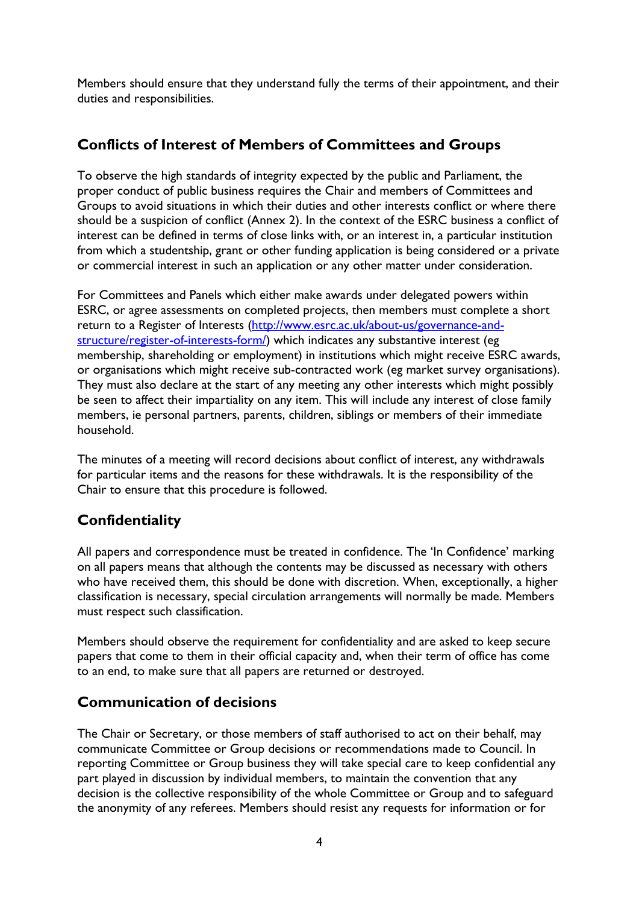Members should ensure that they understand fully the terms of their appointment, and their duties and responsibilities.

### <span id="page-3-0"></span>**Conflicts of Interest of Members of Committees and Groups**

To observe the high standards of integrity expected by the public and Parliament, the proper conduct of public business requires the Chair and members of Committees and Groups to avoid situations in which their duties and other interests conflict or where there should be a suspicion of conflict (Annex 2). In the context of the ESRC business a conflict of interest can be defined in terms of close links with, or an interest in, a particular institution from which a studentship, grant or other funding application is being considered or a private or commercial interest in such an application or any other matter under consideration.

For Committees and Panels which either make awards under delegated powers within ESRC, or agree assessments on completed projects, then members must complete a short return to a Register of Interests [\(http://www.esrc.ac.uk/about-us/governance-and](http://www.esrc.ac.uk/about-us/governance-and-structure/register-of-interests-form/)[structure/register-of-interests-form/\)](http://www.esrc.ac.uk/about-us/governance-and-structure/register-of-interests-form/) which indicates any substantive interest (eg membership, shareholding or employment) in institutions which might receive ESRC awards, or organisations which might receive sub-contracted work (eg market survey organisations). They must also declare at the start of any meeting any other interests which might possibly be seen to affect their impartiality on any item. This will include any interest of close family members, ie personal partners, parents, children, siblings or members of their immediate household.

The minutes of a meeting will record decisions about conflict of interest, any withdrawals for particular items and the reasons for these withdrawals. It is the responsibility of the Chair to ensure that this procedure is followed.

# <span id="page-3-1"></span>**Confidentiality**

All papers and correspondence must be treated in confidence. The 'In Confidence' marking on all papers means that although the contents may be discussed as necessary with others who have received them, this should be done with discretion. When, exceptionally, a higher classification is necessary, special circulation arrangements will normally be made. Members must respect such classification.

Members should observe the requirement for confidentiality and are asked to keep secure papers that come to them in their official capacity and, when their term of office has come to an end, to make sure that all papers are returned or destroyed.

### <span id="page-3-2"></span>**Communication of decisions**

The Chair or Secretary, or those members of staff authorised to act on their behalf, may communicate Committee or Group decisions or recommendations made to Council. In reporting Committee or Group business they will take special care to keep confidential any part played in discussion by individual members, to maintain the convention that any decision is the collective responsibility of the whole Committee or Group and to safeguard the anonymity of any referees. Members should resist any requests for information or for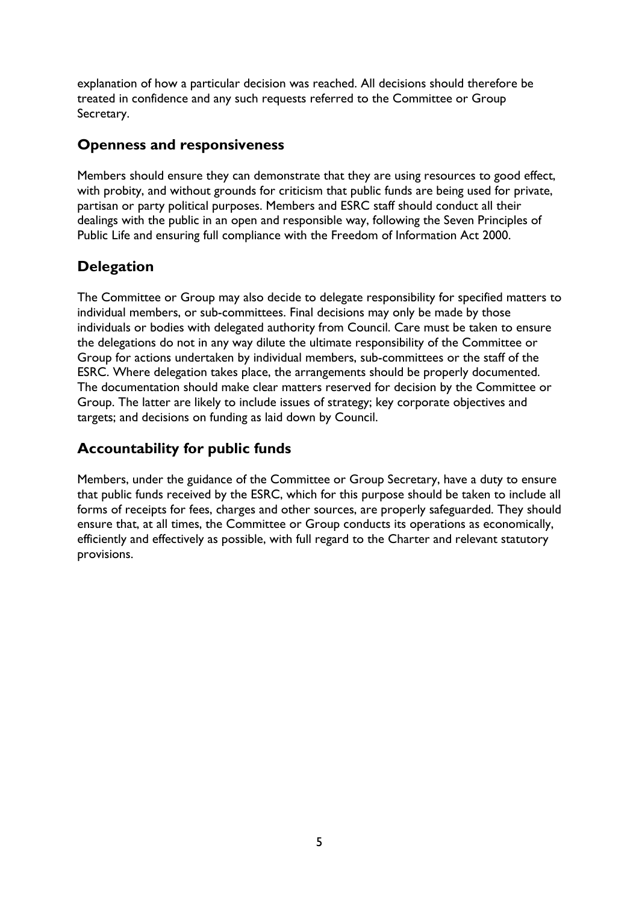explanation of how a particular decision was reached. All decisions should therefore be treated in confidence and any such requests referred to the Committee or Group Secretary.

#### <span id="page-4-0"></span>**Openness and responsiveness**

Members should ensure they can demonstrate that they are using resources to good effect, with probity, and without grounds for criticism that public funds are being used for private, partisan or party political purposes. Members and ESRC staff should conduct all their dealings with the public in an open and responsible way, following the Seven Principles of Public Life and ensuring full compliance with the Freedom of Information Act 2000.

### <span id="page-4-1"></span>**Delegation**

The Committee or Group may also decide to delegate responsibility for specified matters to individual members, or sub-committees. Final decisions may only be made by those individuals or bodies with delegated authority from Council. Care must be taken to ensure the delegations do not in any way dilute the ultimate responsibility of the Committee or Group for actions undertaken by individual members, sub-committees or the staff of the ESRC. Where delegation takes place, the arrangements should be properly documented. The documentation should make clear matters reserved for decision by the Committee or Group. The latter are likely to include issues of strategy; key corporate objectives and targets; and decisions on funding as laid down by Council.

## <span id="page-4-2"></span>**Accountability for public funds**

Members, under the guidance of the Committee or Group Secretary, have a duty to ensure that public funds received by the ESRC, which for this purpose should be taken to include all forms of receipts for fees, charges and other sources, are properly safeguarded. They should ensure that, at all times, the Committee or Group conducts its operations as economically, efficiently and effectively as possible, with full regard to the Charter and relevant statutory provisions.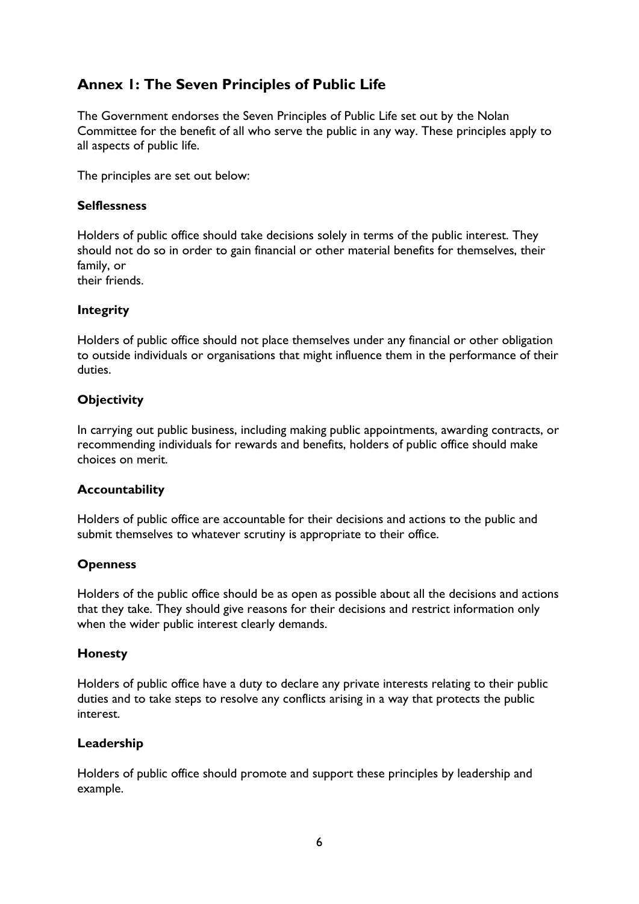### <span id="page-5-0"></span>**Annex 1: The Seven Principles of Public Life**

The Government endorses the Seven Principles of Public Life set out by the Nolan Committee for the benefit of all who serve the public in any way. These principles apply to all aspects of public life.

The principles are set out below:

#### **Selflessness**

Holders of public office should take decisions solely in terms of the public interest. They should not do so in order to gain financial or other material benefits for themselves, their family, or

their friends.

#### **Integrity**

Holders of public office should not place themselves under any financial or other obligation to outside individuals or organisations that might influence them in the performance of their duties.

#### **Objectivity**

In carrying out public business, including making public appointments, awarding contracts, or recommending individuals for rewards and benefits, holders of public office should make choices on merit.

#### **Accountability**

Holders of public office are accountable for their decisions and actions to the public and submit themselves to whatever scrutiny is appropriate to their office.

#### **Openness**

Holders of the public office should be as open as possible about all the decisions and actions that they take. They should give reasons for their decisions and restrict information only when the wider public interest clearly demands.

#### **Honesty**

Holders of public office have a duty to declare any private interests relating to their public duties and to take steps to resolve any conflicts arising in a way that protects the public interest.

#### **Leadership**

Holders of public office should promote and support these principles by leadership and example.